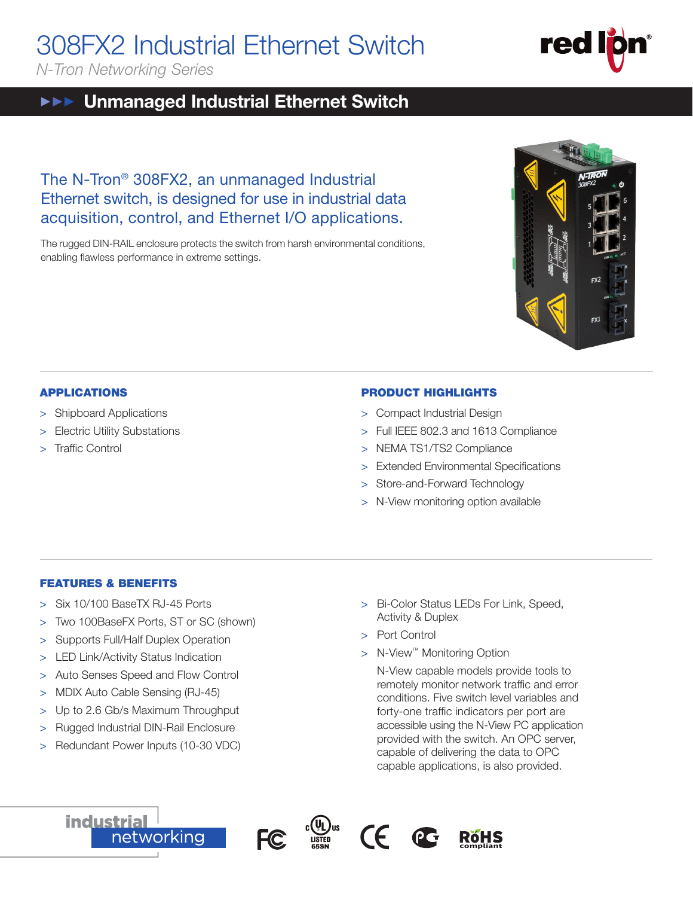# 308FX2 Industrial Ethernet Switch

*N-Tron Networking Series*

#### Unmanaged Industrial Ethernet Switch  $\blacktriangleright \blacktriangleright \blacktriangleright$

# The N-Tron® 308FX2, an unmanaged Industrial Ethernet switch, is designed for use in industrial data acquisition, control, and Ethernet I/O applications.

The rugged DIN-RAIL enclosure protects the switch from harsh environmental conditions, enabling flawless performance in extreme settings.

## APPLICATIONS

- > Shipboard Applications
- > Electric Utility Substations
- > Traffic Control

## PRODUCT HIGHLIGHTS

- > Compact Industrial Design
- > Full IEEE 802.3 and 1613 Compliance
- > NEMA TS1/TS2 Compliance
- > Extended Environmental Specifications
- > Store-and-Forward Technology
- > N-View monitoring option available

### FEATURES & BENEFITS

- > Six 10/100 BaseTX RJ-45 Ports
- > Two 100BaseFX Ports, ST or SC (shown)
- > Supports Full/Half Duplex Operation
- > LED Link/Activity Status Indication
- > Auto Senses Speed and Flow Control
- > MDIX Auto Cable Sensing (RJ-45)
- > Up to 2.6 Gb/s Maximum Throughput
- > Rugged Industrial DIN-Rail Enclosure
- > Redundant Power Inputs (10-30 VDC)
- > Bi-Color Status LEDs For Link, Speed, Activity & Duplex
- > Port Control
- > N-View<sup>™</sup> Monitoring Option

N-View capable models provide tools to remotely monitor network traffic and error conditions. Five switch level variables and forty-one traffic indicators per port are accessible using the N-View PC application provided with the switch. An OPC server, capable of delivering the data to OPC capable applications, is also provided.